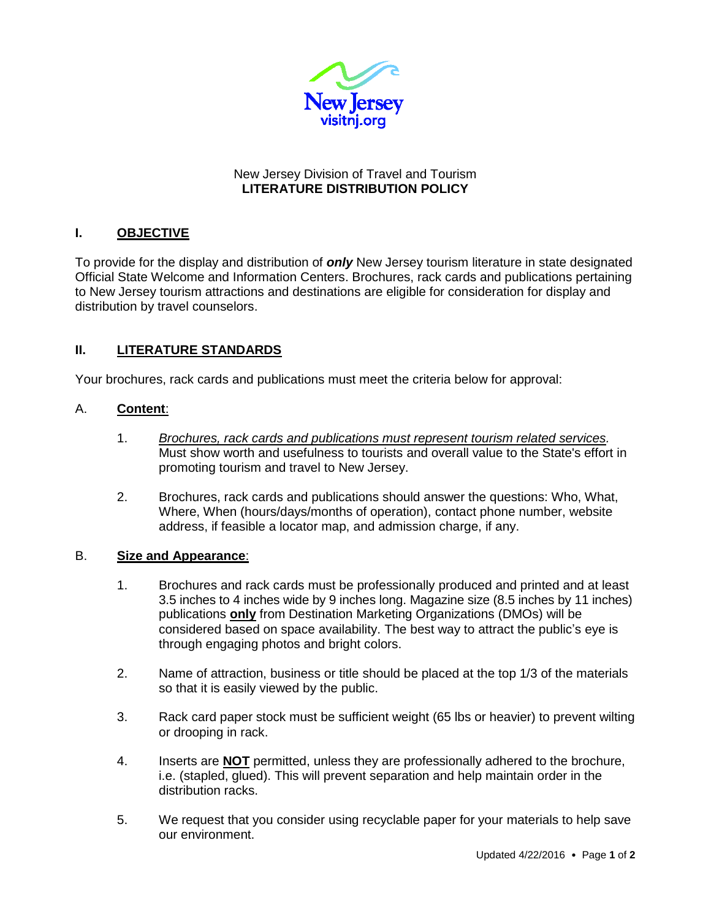

## New Jersey Division of Travel and Tourism **LITERATURE DISTRIBUTION POLICY**

# **I. OBJECTIVE**

To provide for the display and distribution of *only* New Jersey tourism literature in state designated Official State Welcome and Information Centers. Brochures, rack cards and publications pertaining to New Jersey tourism attractions and destinations are eligible for consideration for display and distribution by travel counselors.

## **II. LITERATURE STANDARDS**

Your brochures, rack cards and publications must meet the criteria below for approval:

## A. **Content**:

- 1. *Brochures, rack cards and publications must represent tourism related services.* Must show worth and usefulness to tourists and overall value to the State's effort in promoting tourism and travel to New Jersey.
- 2. Brochures, rack cards and publications should answer the questions: Who, What, Where, When (hours/days/months of operation), contact phone number, website address, if feasible a locator map, and admission charge, if any.

## B. **Size and Appearance**:

- 1. Brochures and rack cards must be professionally produced and printed and at least 3.5 inches to 4 inches wide by 9 inches long. Magazine size (8.5 inches by 11 inches) publications **only** from Destination Marketing Organizations (DMOs) will be considered based on space availability. The best way to attract the public's eye is through engaging photos and bright colors.
- 2. Name of attraction, business or title should be placed at the top 1/3 of the materials so that it is easily viewed by the public.
- 3. Rack card paper stock must be sufficient weight (65 lbs or heavier) to prevent wilting or drooping in rack.
- 4. Inserts are **NOT** permitted, unless they are professionally adhered to the brochure, i.e. (stapled, glued). This will prevent separation and help maintain order in the distribution racks.
- 5. We request that you consider using recyclable paper for your materials to help save our environment.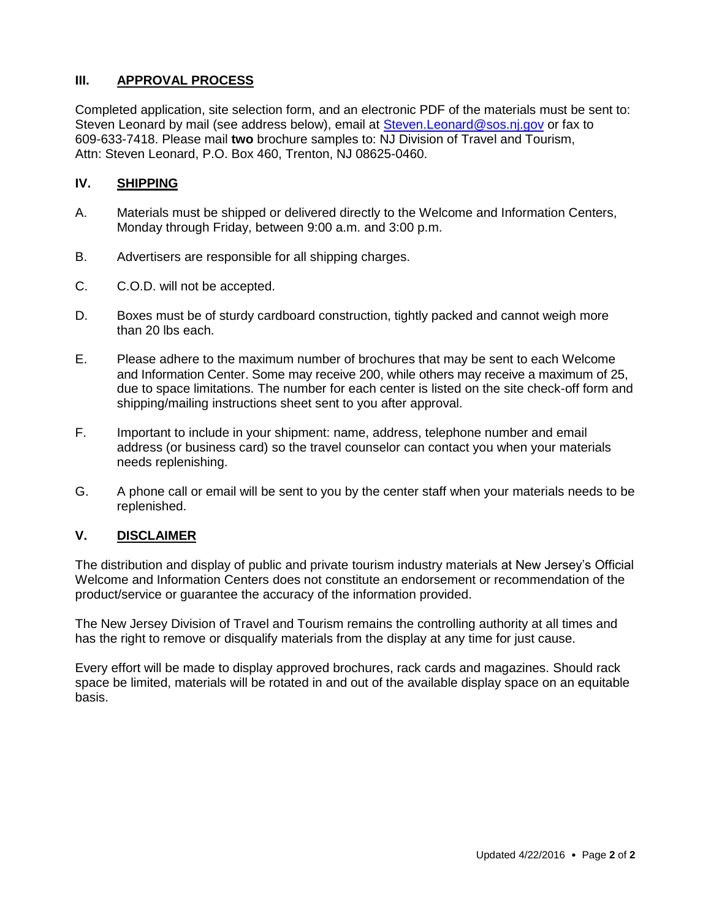## **III. APPROVAL PROCESS**

Completed application, site selection form, and an electronic PDF of the materials must be sent to: Steven Leonard by mail (see address below), email at [Steven.Leonard@sos.nj.gov](mailto:Steven.Leonard@sos.nj.gov) or fax to 609-633-7418. Please mail **two** brochure samples to: NJ Division of Travel and Tourism, Attn: Steven Leonard, P.O. Box 460, Trenton, NJ 08625-0460.

## **IV. SHIPPING**

- A. Materials must be shipped or delivered directly to the Welcome and Information Centers, Monday through Friday, between 9:00 a.m. and 3:00 p.m.
- B. Advertisers are responsible for all shipping charges.
- C. C.O.D. will not be accepted.
- D. Boxes must be of sturdy cardboard construction, tightly packed and cannot weigh more than 20 lbs each.
- E. Please adhere to the maximum number of brochures that may be sent to each Welcome and Information Center. Some may receive 200, while others may receive a maximum of 25, due to space limitations. The number for each center is listed on the site check-off form and shipping/mailing instructions sheet sent to you after approval.
- F. Important to include in your shipment: name, address, telephone number and email address (or business card) so the travel counselor can contact you when your materials needs replenishing.
- G. A phone call or email will be sent to you by the center staff when your materials needs to be replenished.

#### **V. DISCLAIMER**

The distribution and display of public and private tourism industry materials at New Jersey's Official Welcome and Information Centers does not constitute an endorsement or recommendation of the product/service or guarantee the accuracy of the information provided.

The New Jersey Division of Travel and Tourism remains the controlling authority at all times and has the right to remove or disqualify materials from the display at any time for just cause.

Every effort will be made to display approved brochures, rack cards and magazines. Should rack space be limited, materials will be rotated in and out of the available display space on an equitable basis.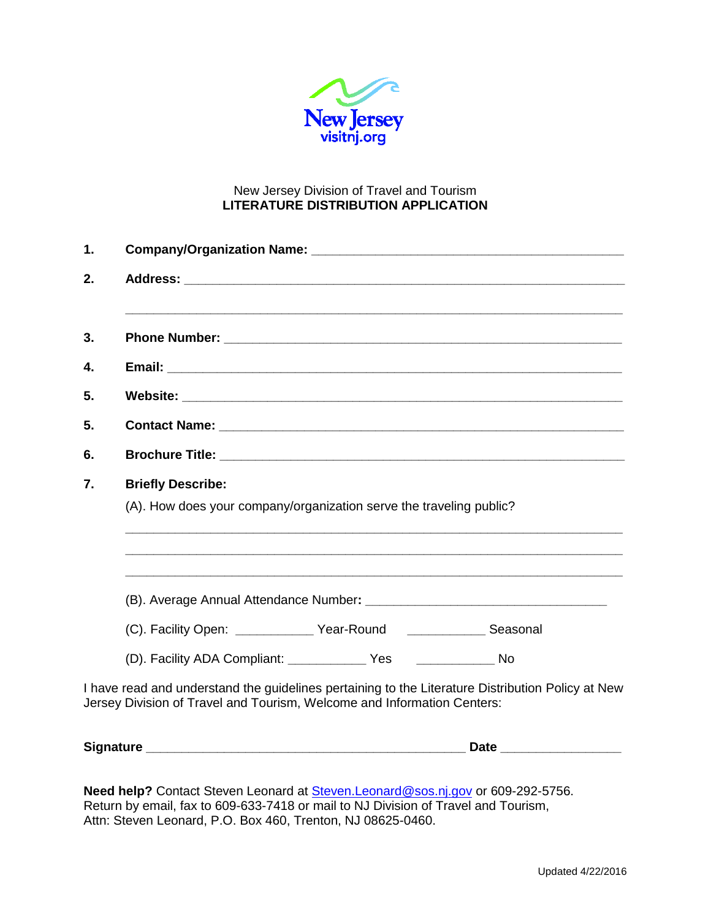

## New Jersey Division of Travel and Tourism **LITERATURE DISTRIBUTION APPLICATION**

| 1. |                                                                                                                                                                              |  |  |
|----|------------------------------------------------------------------------------------------------------------------------------------------------------------------------------|--|--|
| 2. |                                                                                                                                                                              |  |  |
|    |                                                                                                                                                                              |  |  |
| 3. |                                                                                                                                                                              |  |  |
| 4. |                                                                                                                                                                              |  |  |
| 5. |                                                                                                                                                                              |  |  |
| 5. |                                                                                                                                                                              |  |  |
| 6. |                                                                                                                                                                              |  |  |
| 7. | <b>Briefly Describe:</b>                                                                                                                                                     |  |  |
|    | (A). How does your company/organization serve the traveling public?                                                                                                          |  |  |
|    |                                                                                                                                                                              |  |  |
|    |                                                                                                                                                                              |  |  |
|    |                                                                                                                                                                              |  |  |
|    | (C). Facility Open: ______________ Year-Round _______________ Seasonal                                                                                                       |  |  |
|    |                                                                                                                                                                              |  |  |
|    | I have read and understand the guidelines pertaining to the Literature Distribution Policy at New<br>Jersey Division of Travel and Tourism, Welcome and Information Centers: |  |  |
|    | Signature ______                                                                                                                                                             |  |  |

**Need help?** Contact Steven Leonard at [Steven.Leonard@sos.nj.gov](mailto:Steven.Leonard@sos.nj.gov) or 609-292-5756. Return by email, fax to 609-633-7418 or mail to NJ Division of Travel and Tourism, Attn: Steven Leonard, P.O. Box 460, Trenton, NJ 08625-0460.